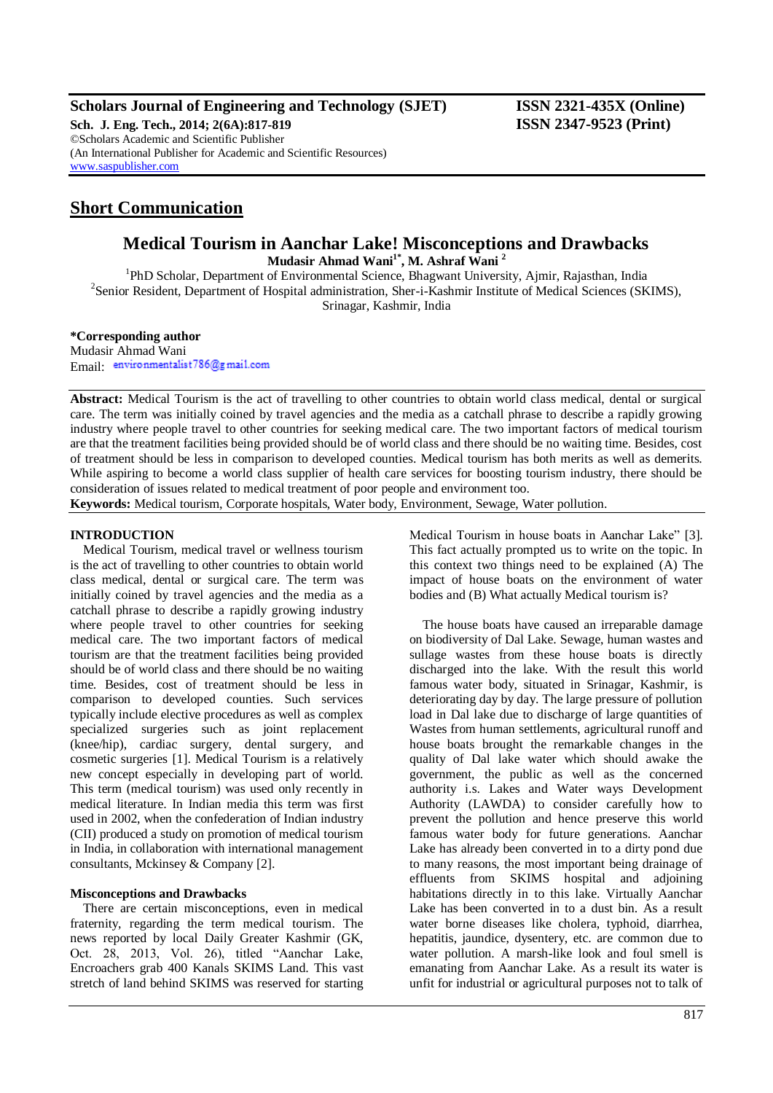# **Scholars Journal of Engineering and Technology (SJET) ISSN 2321-435X (Online)**

**Sch. J. Eng. Tech., 2014; 2(6A):817-819 ISSN 2347-9523 (Print)** ©Scholars Academic and Scientific Publisher (An International Publisher for Academic and Scientific Resources) [www.saspublisher.com](http://www.saspublisher.com/)

# **Short Communication**

# **Medical Tourism in Aanchar Lake! Misconceptions and Drawbacks**

**Mudasir Ahmad Wani1\* , M. Ashraf Wani <sup>2</sup>**

<sup>1</sup>PhD Scholar, Department of Environmental Science, Bhagwant University, Ajmir, Rajasthan, India <sup>2</sup> Senior Resident, Department of Hospital administration, Sher-i-Kashmir Institute of Medical Sciences (SKIMS), Srinagar, Kashmir, India

## **\*Corresponding author**

Mudasir Ahmad Wani Email environmentalist786@gmail.com

**Abstract:** Medical Tourism is the act of travelling to other countries to obtain world class medical, dental or surgical care. The term was initially coined by travel agencies and the media as a catchall phrase to describe a rapidly growing industry where people travel to other countries for seeking medical care. The two important factors of medical tourism are that the treatment facilities being provided should be of world class and there should be no waiting time. Besides, cost of treatment should be less in comparison to developed counties. Medical tourism has both merits as well as demerits. While aspiring to become a world class supplier of health care services for boosting tourism industry, there should be consideration of issues related to medical treatment of poor people and environment too.

**Keywords:** Medical tourism, Corporate hospitals, Water body, Environment, Sewage, Water pollution.

# **INTRODUCTION**

Medical Tourism, medical travel or wellness tourism is the act of travelling to other countries to obtain world class medical, dental or surgical care. The term was initially coined by travel agencies and the media as a catchall phrase to describe a rapidly growing industry where people travel to other countries for seeking medical care. The two important factors of medical tourism are that the treatment facilities being provided should be of world class and there should be no waiting time. Besides, cost of treatment should be less in comparison to developed counties. Such services typically include elective procedures as well as complex specialized surgeries such as joint replacement (knee/hip), cardiac surgery, dental surgery, and cosmetic surgeries [1]. Medical Tourism is a relatively new concept especially in developing part of world. This term (medical tourism) was used only recently in medical literature. In Indian media this term was first used in 2002, when the confederation of Indian industry (CII) produced a study on promotion of medical tourism in India, in collaboration with international management consultants, Mckinsey & Company [2].

### **Misconceptions and Drawbacks**

There are certain misconceptions, even in medical fraternity, regarding the term medical tourism. The news reported by local Daily Greater Kashmir (GK, Oct. 28, 2013, Vol. 26), titled "Aanchar Lake, Encroachers grab 400 Kanals SKIMS Land. This vast stretch of land behind SKIMS was reserved for starting

Medical Tourism in house boats in Aanchar Lake" [3]. This fact actually prompted us to write on the topic. In this context two things need to be explained (A) The impact of house boats on the environment of water bodies and (B) What actually Medical tourism is?

The house boats have caused an irreparable damage on biodiversity of Dal Lake. Sewage, human wastes and sullage wastes from these house boats is directly discharged into the lake. With the result this world famous water body, situated in Srinagar, Kashmir, is deteriorating day by day. The large pressure of pollution load in Dal lake due to discharge of large quantities of Wastes from human settlements, agricultural runoff and house boats brought the remarkable changes in the quality of Dal lake water which should awake the government, the public as well as the concerned authority i.s. Lakes and Water ways Development Authority (LAWDA) to consider carefully how to prevent the pollution and hence preserve this world famous water body for future generations. Aanchar Lake has already been converted in to a dirty pond due to many reasons, the most important being drainage of effluents from SKIMS hospital and adjoining habitations directly in to this lake. Virtually Aanchar Lake has been converted in to a dust bin. As a result water borne diseases like cholera, typhoid, diarrhea, hepatitis, jaundice, dysentery, etc. are common due to water pollution. A marsh-like look and foul smell is emanating from Aanchar Lake. As a result its water is unfit for industrial or agricultural purposes not to talk of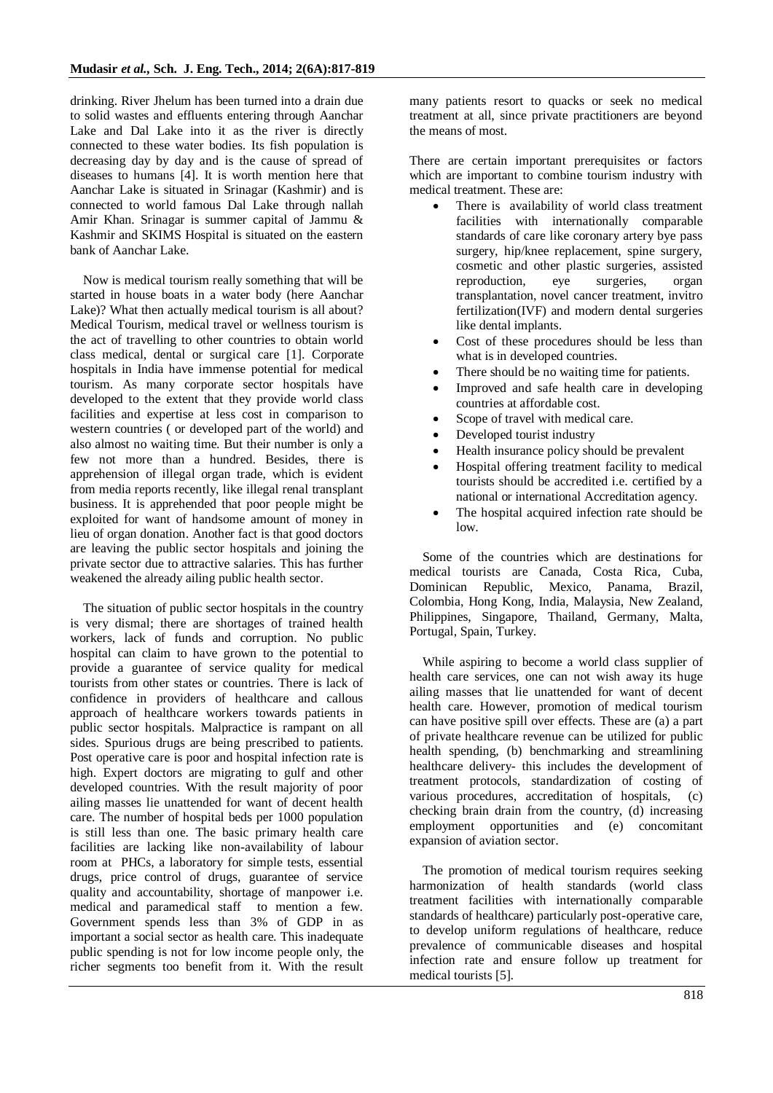drinking. River Jhelum has been turned into a drain due to solid wastes and effluents entering through Aanchar Lake and Dal Lake into it as the river is directly connected to these water bodies. Its fish population is decreasing day by day and is the cause of spread of diseases to humans [4]. It is worth mention here that Aanchar Lake is situated in Srinagar (Kashmir) and is connected to world famous Dal Lake through nallah Amir Khan. Srinagar is summer capital of Jammu & Kashmir and SKIMS Hospital is situated on the eastern bank of Aanchar Lake.

Now is medical tourism really something that will be started in house boats in a water body (here Aanchar Lake)? What then actually medical tourism is all about? Medical Tourism, medical travel or wellness tourism is the act of travelling to other countries to obtain world class medical, dental or surgical care [1]. Corporate hospitals in India have immense potential for medical tourism. As many corporate sector hospitals have developed to the extent that they provide world class facilities and expertise at less cost in comparison to western countries ( or developed part of the world) and also almost no waiting time. But their number is only a few not more than a hundred. Besides, there is apprehension of illegal organ trade, which is evident from media reports recently, like illegal renal transplant business. It is apprehended that poor people might be exploited for want of handsome amount of money in lieu of organ donation. Another fact is that good doctors are leaving the public sector hospitals and joining the private sector due to attractive salaries. This has further weakened the already ailing public health sector.

The situation of public sector hospitals in the country is very dismal; there are shortages of trained health workers, lack of funds and corruption. No public hospital can claim to have grown to the potential to provide a guarantee of service quality for medical tourists from other states or countries. There is lack of confidence in providers of healthcare and callous approach of healthcare workers towards patients in public sector hospitals. Malpractice is rampant on all sides. Spurious drugs are being prescribed to patients. Post operative care is poor and hospital infection rate is high. Expert doctors are migrating to gulf and other developed countries. With the result majority of poor ailing masses lie unattended for want of decent health care. The number of hospital beds per 1000 population is still less than one. The basic primary health care facilities are lacking like non-availability of labour room at PHCs, a laboratory for simple tests, essential drugs, price control of drugs, guarantee of service quality and accountability, shortage of manpower i.e. medical and paramedical staff to mention a few. Government spends less than 3% of GDP in as important a social sector as health care. This inadequate public spending is not for low income people only, the richer segments too benefit from it. With the result many patients resort to quacks or seek no medical treatment at all, since private practitioners are beyond the means of most.

There are certain important prerequisites or factors which are important to combine tourism industry with medical treatment. These are:

- There is availability of world class treatment facilities with internationally comparable standards of care like coronary artery bye pass surgery, hip/knee replacement, spine surgery, cosmetic and other plastic surgeries, assisted reproduction, eye surgeries, organ transplantation, novel cancer treatment, invitro fertilization(IVF) and modern dental surgeries like dental implants.
- Cost of these procedures should be less than what is in developed countries.
- There should be no waiting time for patients.
- Improved and safe health care in developing countries at affordable cost.
- Scope of travel with medical care.
- Developed tourist industry
- Health insurance policy should be prevalent
- Hospital offering treatment facility to medical tourists should be accredited i.e. certified by a national or international Accreditation agency.
- The hospital acquired infection rate should be low.

Some of the countries which are destinations for medical tourists are Canada, Costa Rica, Cuba, Dominican Republic, Mexico, Panama, Brazil, Colombia, Hong Kong, India, Malaysia, New Zealand, Philippines, Singapore, Thailand, Germany, Malta, Portugal, Spain, Turkey.

While aspiring to become a world class supplier of health care services, one can not wish away its huge ailing masses that lie unattended for want of decent health care. However, promotion of medical tourism can have positive spill over effects. These are (a) a part of private healthcare revenue can be utilized for public health spending, (b) benchmarking and streamlining healthcare delivery- this includes the development of treatment protocols, standardization of costing of various procedures, accreditation of hospitals, (c) checking brain drain from the country, (d) increasing employment opportunities and (e) concomitant expansion of aviation sector.

The promotion of medical tourism requires seeking harmonization of health standards (world class treatment facilities with internationally comparable standards of healthcare) particularly post-operative care, to develop uniform regulations of healthcare, reduce prevalence of communicable diseases and hospital infection rate and ensure follow up treatment for medical tourists [5].